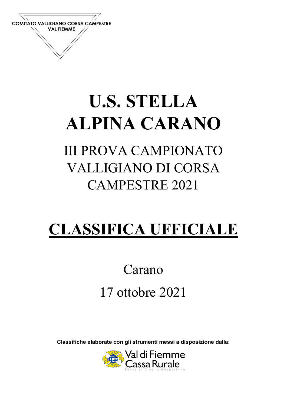

## U.S. STELLA ALPINA CARANO

## III PROVA CAMPIONATO VALLIGIANO DI CORSA CAMPESTRE 2021

## CLASSIFICA UFFICIALE

## Carano 17 ottobre 2021

Classifiche elaborate con gli strumenti messi a disposizione dalla:

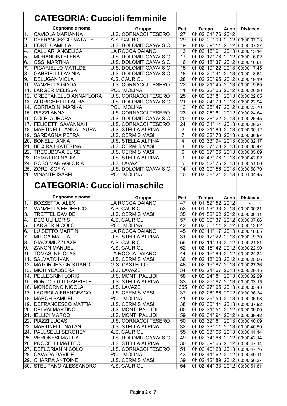|                  | <b>CATEGORIA: Cuccioli femminile</b>                  |                             |                 |                                                                  |      |                 |
|------------------|-------------------------------------------------------|-----------------------------|-----------------|------------------------------------------------------------------|------|-----------------|
|                  | Cognome e nome                                        | <b>Gruppo</b>               | Pett.           | <b>Tempo</b>                                                     | Anno | <b>Distacco</b> |
| 1.               | <b>CAVIOLA MARIANNA</b>                               | <b>U.S. CORNACCI TESERO</b> | $\overline{27}$ | 0h 02' 01", 76 2012                                              |      |                 |
| $\overline{2}$ . | <b>DEFRANCESCO NATALIE</b>                            | A.S. CAURIOL                | 29              | 0h 02' 09",00 2012 00:00:07,23                                   |      |                 |
| 3.               | <b>FORTI CAMILLA</b>                                  | U.S. DOLOMITICA/AVISIO      | 19              | 0h 02' 09",14 2012                                               |      | 00:00:07,37     |
| 4.               | <b>CALLIARI ANGELICA</b>                              | LA ROCCA DAIANO             | 13              | 0h 02' 16", 91 2013                                              |      | 00:00:15,14     |
| 5.               | <b>MORANDINI ELENA</b>                                | U.S. DOLOMITICA/AVISIO      | 17              | 0h 02' 17",78 2012                                               |      | 00:00:16,02     |
| 6.               | <b>OSSI MARTINA</b>                                   | U.S. DOLOMITICA/AVISIO      | 16              | 0h 02' 18", 37 2012                                              |      | 00:00:16,61     |
| 7.               | PICARIELLO MATILDE                                    | U.S. DOLOMITICA/AVISIO      | 15              | 0h 02' 19", 22 2013                                              |      | 00:00:17,45     |
| 8.               | <b>GABRIELLI LAVINIA</b>                              | U.S. DOLOMITICA/AVISIO      | 18              | 0h 02' 20",41 2013                                               |      | 00:00:18,64     |
| 9.               | <b>DELUGAN VIOLA</b>                                  | A.S. CAURIOL                | 28              | 0h 02' 20",95 2012                                               |      | 00:00:19,19     |
| 10.              | <b>VANZETTA GIADA</b>                                 | <b>U.S. CORNACCI TESERO</b> | $\overline{22}$ | 0h 02' 21",45 2013 00:00:19,69                                   |      |                 |
| 11.              | LARGER MELISSA                                        | POL. MOLINA                 | 11              | 0h 02' 22",06 2012                                               |      | 00:00:20,30     |
|                  | 12. CRESTANELLO ANNAFLORA                             | <b>U.S. CORNACCI TESERO</b> | $\overline{25}$ | 0h 02' 23",81 2013 00:00:22,05                                   |      |                 |
|                  | 13. ALDRIGHETTI LAURA                                 | U.S. DOLOMITICA/AVISIO      | $\overline{21}$ | 0h 02' 24", 70 2013 00:00:22, 94                                 |      |                 |
| 14.1             | <b>CORRADINI MARIKA</b>                               | POL. MOLINA                 | $\overline{12}$ | 0h 02' 25",47 2012                                               |      | 00:00:23,70     |
|                  | 15. PIAZZI ANNA                                       | <b>U.S. CORNACCI TESERO</b> | 23              | 0h 02' 26",61 2012 00:00:24,84                                   |      |                 |
|                  | 16. COLPI AURORA                                      | U.S. DOLOMITICA/AVISIO      | 20              | 0h 02' 28", 22 2013                                              |      | 00:00:26,45     |
|                  | 17. FELICETTI SAVANNAH                                | <b>U.S. CORNACCI TESERO</b> | $\overline{24}$ | 0h 02' 31", 14 2013 00:00:29, 37                                 |      |                 |
|                  | 18. MARTINELLI ANNA LAURA                             | <b>U.S. STELLA ALPINA</b>   | $\overline{2}$  | 0h 02' 31",89 2013                                               |      | 00:00:30,12     |
|                  | 19. SARDAGNA PETRA                                    | <b>U.S. CERMIS MASI</b>     | 7               | 0h 02' 32", 73 2013 00:00:30, 97                                 |      |                 |
|                  | 20. BONELLI ANNA                                      | <b>U.S. STELLA ALPINA</b>   | 4               | 0h 02' 33", 94 2013                                              |      | 00:00:32,17     |
| 21.              | <b>BEQIRAJ KATERINA</b>                               | <b>U.S. CERMIS MASI</b>     | 8               | 0h 02' 37", 23 2013                                              |      |                 |
|                  |                                                       |                             |                 |                                                                  |      | 00:00:35,47     |
| 22.              | <b>TREGUBOVA ELISE</b>                                | <b>U.S. CERMIS MASI</b>     | 6               | 0h 02' 37",66 2013                                               |      | 00:00:35,89     |
| 23.              | <b>DEMATTIO NADIA</b>                                 | <b>U.S. STELLA ALPINA</b>   | $\overline{3}$  | 0h 02' 43",78 2013                                               |      | 00:00:42,02     |
| 24.              | <b>GOSS MARIAGLORIA</b>                               | U.S. LAVAZE                 | $\overline{5}$  | 0h 02' 52", 76 2013                                              |      | 00:00:51,00     |
| 25.              | <b>ZORZI SOFIA</b>                                    | U.S. DOLOMITICA/AVISIO      | 14              | 0h 03' 00",56 2013                                               |      | 00:00:58,79     |
|                  | 26. VINANTE ISABEL                                    | POL. MOLINA                 | 10              | 0h 03' 06", 21 2013 00:01:04, 45                                 |      |                 |
|                  | <b>CATEGORIA: Cuccioli maschile</b><br>Cognome e nome |                             |                 | <b>Tempo</b>                                                     | Anno |                 |
| 1.               |                                                       | Gruppo                      | Pett.           |                                                                  |      |                 |
|                  |                                                       |                             |                 |                                                                  |      | <b>Distacco</b> |
|                  | <b>BOZZETTA ALEX</b>                                  | <b>LA ROCCA DAIANO</b>      | 47              | 0h 01' 52", 52 2012                                              |      |                 |
| $\overline{2}$ . | <b>VANZETTA FEDERICO</b>                              | A.S. CAURIOL                | 53              | 0h 01' 53", 33 2013                                              |      | 00:00:00,81     |
| 3.               | <b>TRETTEL DAVIDE</b>                                 | <b>U.S. CERMIS MASI</b>     | 35              | 0h 01' 58", 62 2012                                              |      | 00:00:06,11     |
| $\overline{4}$   | <b>DEGIULI LORIS</b>                                  | A.S. CAURIOL                | 57              | 0h 02' 00", 37 2012 00:00:07, 86                                 |      |                 |
|                  | 5. LARGER NICOLO'                                     | POL. MOLINA                 |                 | 42 0h 02' 05", 14 2012 00:00:12, 62                              |      |                 |
| 6.               | LUISETTO MARTIN                                       | LA ROCCA DAIANO             | 45              | 0h 02' 11",17 2013 00:00:18,65                                   |      |                 |
| 7.               | <b>MITICA MATTIA</b>                                  | U.S. STELLA ALPINA          | 31              | 0h 02' 12",22 2013 00:00:19,70                                   |      |                 |
| 8.               | <b>GIACOMUZZI AXEL</b>                                | A.S. CAURIOL                | 56              | 0h 02' 14",33 2012 00:00:21,81                                   |      |                 |
| 9.               | <b>ZANON MANUEL</b>                                   | A.S. CAURIOL                | 52              | 0h 02' 15",42 2012 00:00:22,90                                   |      |                 |
|                  | 10. TOMASI NICOLAS                                    | LA ROCCA DAIANO             | 44              | 0h 02' 16",86 2012 00:00:24,34                                   |      |                 |
|                  | 11. SALVATO IVAN                                      | <b>U.S. CERMIS MASI</b>     | 36              | 0h 02' 18",08 2012 00:00:25,56                                   |      |                 |
|                  | 12. MATORDES CRISTIANO                                | G.S. CASTELLO               | 48              | 0h 02' 19",87 2013 00:00:27,36                                   |      |                 |
|                  | 13. MICH YEABSERA                                     | U.S. LAVAZE                 | 34              | 0h 02' 21",67 2013 00:00:29,15                                   |      |                 |
|                  | 14. PELLEGRINI LORIS                                  | <b>U.S. MONTI PALLIDI</b>   | 58              | 0h 02' 24",81 2013 00:00:32,29                                   |      |                 |
|                  | 15. BORTOLOTTI GABRIELE                               | <b>U.S. STELLA ALPINA</b>   | 33              | 0h 02' 25", 67 2013 00:00:33, 15                                 |      |                 |
|                  | 16. MONSORNO NICOLA                                   | U.S. LAVAZE                 | 255             | 0h 02' 27",95 2013 00:00:35,43                                   |      |                 |
|                  | 17. LACRIOLA FRANCESCO                                | <b>U.S. CERMIS MASI</b>     | 37              | 0h 02' 28",86 2012 00:00:36,34                                   |      |                 |
|                  | <b>18. MARCH SAMUEL</b>                               | POL. MOLINA                 | 41              | 0h 02' 29",50 2013 00:00:36,98                                   |      |                 |
|                  | 19. DEFRANCESCO MATTIA                                | <b>U.S. CERMIS MASI</b>     | 38              | 0h 02' 30",44 2013 00:00:37,92                                   |      |                 |
|                  | 20. DELVAI MARTINO                                    | <b>U.S. MONTI PALLIDI</b>   | 60              | 0h 02' 31",51 2012 00:00:39,00                                   |      |                 |
|                  | 21. IELLICI MARCO                                     | <b>U.S. MONTI PALLIDI</b>   | 59              |                                                                  |      |                 |
|                  | 22. PIAZZI LUCAS                                      | <b>U.S. CORNACCI TESERO</b> | 50              | 0h 02' 31",94 2012 00:00:39,42<br>0h 02' 32",61 2013 00:00:40,09 |      |                 |
|                  | 23. MARTINELLI NATAN                                  | <b>U.S. STELLA ALPINA</b>   | 32              | 0h 02' 33", 11 2013 00:00:40, 59                                 |      |                 |
|                  | 24. PALUSELLI SERGHEY                                 | A.S. CAURIOL                | 55              | 0h 02' 33",66 2013 00:00:41,14                                   |      |                 |
|                  | 25. VERONESI MATTIA                                   | U.S. DOLOMITICA/AVISIO      | 49              | 0h 02' 34",66 2012 00:00:42,14                                   |      |                 |
|                  | 26. PROCELLI MATTEO                                   | U.S. STELLA ALPINA          | 30              | 0h 02' 39",66 2012 00:00:47,14                                   |      |                 |
|                  | 27. DEFLORIAN NICOLO'                                 | <b>U.S. CORNACCI TESERO</b> | 51              | 0h 02' 40",28 2013 00:00:47,76                                   |      |                 |
|                  | 28. CAVADA DAVIDE                                     | POL. MOLINA                 | 43              | 0h 02' 41",62 2012 00:00:49,11                                   |      |                 |
|                  | 29. CHARRA ANTOINE                                    | <b>U.S. CERMIS MASI</b>     | 39              | 0h 02' 42",89 2012 00:00:50,37                                   |      |                 |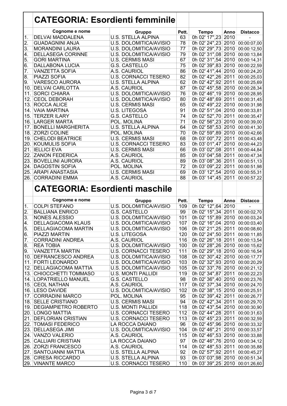|                  | <b>CATEGORIA: Esordienti femminile</b>    |                                                          |           |                                                                  |      |                 |
|------------------|-------------------------------------------|----------------------------------------------------------|-----------|------------------------------------------------------------------|------|-----------------|
|                  |                                           |                                                          |           |                                                                  |      |                 |
|                  | Cognome e nome<br><b>DELVAI MADDALENA</b> | <b>Gruppo</b><br><b>U.S. STELLA ALPINA</b>               | Pett.     | <b>Tempo</b><br>0h 02' 17", 23 2010                              | Anno | <b>Distacco</b> |
| 1.               | <b>GUADAGNINI ANJA</b>                    |                                                          | 63<br>78  | 0h 02' 24", 23 2010                                              |      |                 |
| $\overline{2}$ . |                                           | U.S. DOLOMITICA/AVISIO                                   | 77        |                                                                  |      | 00:00:07,00     |
| 3.               | <b>MORANDINI LAURA</b>                    | U.S. DOLOMITICA/AVISIO                                   |           | 0h 02' 29", 73 2010                                              |      | 00:00:12,50     |
| 4.               | <b>DELLASEGA CORINNE</b>                  | <b>U.S. DOLOMITICA/AVISIO</b>                            | 79        | 0h 02' 31",08 2010                                               |      | 00:00:13,84     |
| 5.               | <b>GORI MARTINA</b>                       | <b>U.S. CERMIS MASI</b>                                  | 67        | 0h 02' 31",54 2010                                               |      | 00:00:14,31     |
| $\overline{6}$ . | <b>DALLABONA LUCIA</b>                    | <b>G.S. CASTELLO</b>                                     | 75        | 0h 02' 39",83 2010                                               |      | 00:00:22,59     |
| 7.               | <b>VANZETTA SOFIA</b>                     | A.S. CAURIOL                                             | 86        | 0h 02' 41",44 2010                                               |      | 00:00:24,20     |
| 8.               | PIAZZI SOFIA                              | <b>U.S. CORNACCI TESERO</b>                              | 82        | 0h 02' 42", 26 2011                                              |      | 00:00:25,03     |
| 9.               | <b>VARESCO AURORA</b>                     | <b>U.S. STELLA ALPINA</b>                                | 62        | 0h 02' 42", 92 2011                                              |      | 00:00:25,69     |
|                  | 10. DELVAI CARLOTTA                       | A.S. CAURIOL                                             | 87        | 0h 02' 45",58 2010                                               |      | 00:00:28,34     |
|                  | 11. SORCI CHIARA                          | U.S. DOLOMITICA/AVISIO                                   | 76        | 0h 02' 46", 19 2010                                              |      | 00:00:28,95     |
|                  | 12. CEOL DEBORAH                          | U.S. DOLOMITICA/AVISIO                                   | 80        | 0h 02' 48",69 2011                                               |      | 00:00:31,45     |
|                  | 13. ROCCA ALICE                           | <b>U.S. CERMIS MASI</b>                                  | 65        | 0h 02' 49", 22 2010                                              |      | 00:00:31,98     |
|                  | 14. VAIA MARTINA                          | <b>U.S. LITEGOSA</b>                                     | 91        | 0h 02' 51",04 2010                                               |      | 00:00:33,81     |
|                  | 15. TERZER ILARY                          | <b>G.S. CASTELLO</b>                                     | 74        | 0h 02' 52", 70 2011                                              |      | 00:00:35,47     |
|                  | <b>16. LARGER MARTA</b>                   | POL. MOLINA                                              | 71        | 0h 02' 56", 23 2010                                              |      | 00:00:39,00     |
|                  | 17. BONELLI MARGHERITA                    | <b>U.S. STELLA ALPINA</b>                                | 64        | 0h 02' 58",53 2010                                               |      | 00:00:41,30     |
|                  | 18. ZORZI COLINE                          | POL. MOLINA                                              | 70        | 0h 02' 59",89 2010                                               |      | 00:00:42,66     |
|                  | <b>19. CHELODI BEATRICE</b>               | <b>U.S. CERMIS MASI</b>                                  | 68        | 0h 03' 00", 72 2011                                              |      | 00:00:43,48     |
|                  |                                           |                                                          | 83        | 0h 03' 01",47 2010                                               |      |                 |
|                  | 20. KOUMULIS SOFIA                        | <b>U.S. CORNACCI TESERO</b>                              |           |                                                                  |      | 00:00:44,23     |
|                  | 21. IELLICI EVA                           | <b>U.S. CERMIS MASI</b>                                  | 66        | 0h 03' 02",08 2011                                               |      | 00:00:44,84     |
|                  | 22. ZANON FEDERICA                        | A.S. CAURIOL                                             | 85        | 0h 03' 04",58 2011                                               |      | 00:00:47,34     |
|                  | 23. BOVELLINI AURORA                      | A.S. CAURIOL                                             | 89        | 0h 03' 08", 36 2011                                              |      | 00:00:51,13     |
|                  | 24. DAGOSTIN SOFIA                        | POL. MOLINA                                              | 72        | 0h 03' 09", 22 2011                                              |      | 00:00:51,98     |
|                  | 25. ARAPI ANASTASIA                       | <b>U.S. CERMIS MASI</b>                                  | 69        | 0h 03' 12",54 2010                                               |      | 00:00:55,31     |
|                  | 26. CORRADINI EMMA                        | A.S. CAURIOL                                             | 88        | 0h 03' 14", 45 2011                                              |      | 00:00:57,22     |
|                  |                                           |                                                          |           |                                                                  |      |                 |
|                  |                                           | <b>CATEGORIA: Esordienti maschile</b>                    |           |                                                                  |      |                 |
|                  |                                           |                                                          |           |                                                                  |      |                 |
|                  | Cognome e nome                            |                                                          | Pett.     |                                                                  | Anno |                 |
|                  |                                           | <b>Gruppo</b>                                            |           | <b>Tempo</b>                                                     |      | <b>Distacco</b> |
| 1.               | <b>COLPI STEFANO</b>                      | U.S. DOLOMITICA/AVISIO                                   | 109       | 0h 02' 12",64 2010                                               |      |                 |
| 2.               | <b>BALLIANA ENRICO</b>                    | <b>G.S. CASTELLO</b>                                     | 99        | 0h 02' 15", 34 2011                                              |      | 00:00:02,70     |
| 3.               | <b>NONES ALESSIO</b>                      | <b>U.S. DOLOMITICA/AVISIO</b>                            | 101       | 0h 02' 15",89 2010                                               |      | 00:00:03,24     |
| 4.               | <b>DELLAGIACOMA KLAUS</b>                 | U.S. DOLOMITICA/AVISIO                                   | 107       | 0h 02' 16",04 2010 00:00:03,40                                   |      |                 |
| 5.               | <b>DELLAGIACOMA MARTIN</b>                | U.S. DOLOMITICA/AVISIO                                   | 106       | 0h 02' 21",25 2011 00:00:08,60                                   |      |                 |
| 6.               | PIAZZI MARTIN                             | <b>U.S. LITEGOSA</b>                                     | 120       | 0h 02' 24",50 2011 00:00:11,85                                   |      |                 |
| 7.               | <b>CORRADINI ANDREA</b>                   | A.S. CAURIOL                                             | 116       | 0h 02' 26", 18 2011 00:00:13, 54                                 |      |                 |
| 8.               | <b>REA TOBIA</b>                          | U.S. DOLOMITICA/AVISIO                                   | 100       | 0h 02' 28",26 2010 00:00:15,62                                   |      |                 |
| 9.               | <b>VANZETTA MARTIN</b>                    | <b>U.S. CORNACCI TESERO</b>                              | 111       | 0h 02' 29", 18 2010                                              |      | 00:00:16,54     |
|                  | 10. DEFRANCESCO ANDREA                    | U.S. DOLOMITICA/AVISIO                                   | 108       | 0h 02' 30",42 2010 00:00:17,77                                   |      |                 |
|                  | 11. FORTI LEONARDO                        | U.S. DOLOMITICA/AVISIO                                   | 103       | 0h 02' 32",93 2010                                               |      | 00:00:20,29     |
|                  | 12. DELLAGIACOMA MATTIA                   | U.S. DOLOMITICA/AVISIO                                   | 105       | 0h 02' 33", 76 2010 00:00:21, 12                                 |      |                 |
|                  | 13. CHIOCCHETTI TOMMASO                   | <b>U.S. MONTI PALLIDI</b>                                | 119       | 0h 02' 34",87 2011                                               |      | 00:00:22,23     |
|                  | 14. LOPATRIELLO MANUEL                    | G.S. CASTELLO                                            | 98        | 0h 02' 36",40 2010 00:00:23,76                                   |      |                 |
|                  | 15. CEOL NATHAN                           | A.S. CAURIOL                                             | 117       | 0h 02' 37", 34 2010 00:00:24, 70                                 |      |                 |
|                  | 16. LESO DAVIDE                           | U.S. DOLOMITICA/AVISIO                                   | 102       | 0h 02' 38", 15 2010                                              |      | 00:00:25,51     |
|                  | 17. CORRADINI MARCO                       | POL. MOLINA                                              |           |                                                                  |      |                 |
|                  |                                           |                                                          | 95<br>94  | 0h 02' 39",42 2011                                               |      | 00:00:26,77     |
|                  | 18. SELLE CRISTIANO                       | <b>U.S. CERMIS MASI</b>                                  |           | 0h 02' 42", 34 2011                                              |      | 00:00:29,70     |
|                  | 19. DEGIAMPIETRO ROBERTO                  | <b>U.S. MONTI PALLIDI</b>                                | 118       | 0h 02' 43",54 2010                                               |      | 00:00:30,90     |
|                  | 20. LONGO MATTIA                          | <b>U.S. CORNACCI TESERO</b>                              | 112       | 0h 02' 44", 28 2011                                              |      | 00:00:31,63     |
|                  | 21. DEFLORIAN CRISTIAN                    | <b>U.S. CORNACCI TESERO</b>                              | 113       | 0h 02' 45", 23 2011                                              |      | 00:00:32,59     |
|                  | 22. TOMASI FEDERICO                       | LA ROCCA DAIANO                                          | 96        | 0h 02' 45",96 2010 00:00:33,32                                   |      |                 |
|                  | 23. DELLASEGA JIMI                        | U.S. DOLOMITICA/AVISIO                                   | 104       | 0h 02' 46", 21 2010 00:00:33, 57                                 |      |                 |
|                  | 24. VANZO VALERIO                         | A.S. CAURIOL                                             | 115       | 0h 02' 46",53 2010 00:00:33,88                                   |      |                 |
|                  | 25. CALLIARI CRISTIAN                     | LA ROCCA DAIANO                                          | 97        | 0h 02' 46",76 2010 00:00:34,12                                   |      |                 |
|                  | 26. ZORZI FRANCESCO                       | A.S. CAURIOL                                             | 114       | 0h 02' 48",53 2011                                               |      | 00:00:35,88     |
|                  | 27. SANTOJANNI MATTIA                     | <b>U.S. STELLA ALPINA</b>                                | 92        | 0h 02' 57",92 2011                                               |      | 00:00:45,27     |
|                  | 28. CIRESA RICCARDO<br>29. VINANTE MARCO  | <b>U.S. STELLA ALPINA</b><br><b>U.S. CORNACCI TESERO</b> | 93<br>110 | 0h 03' 03",98 2010 00:00:51,34<br>0h 03' 39",25 2010 00:01:26,60 |      |                 |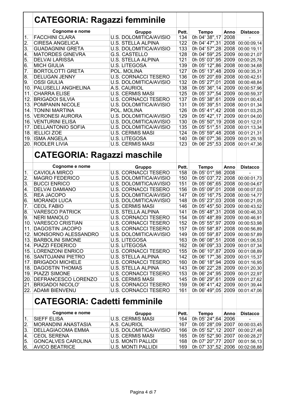|                  | <b>CATEGORIA: Ragazzi femminile</b>    |                                                       |            |                                |              |                            |
|------------------|----------------------------------------|-------------------------------------------------------|------------|--------------------------------|--------------|----------------------------|
|                  | Cognome e nome                         | <b>Gruppo</b>                                         | Pett.      | <b>Tempo</b>                   | Anno         | <b>Distacco</b>            |
| 1.               | <b>FACCHINI CLARA</b>                  | <b>U.S. DOLOMITICA/AVISIO</b>                         | 134        | 0h 04' 38", 17                 | 2008         |                            |
| $\overline{2}$ . | <b>CIRESA ANGELICA</b>                 | <b>U.S. STELLA ALPINA</b>                             | 122        | 0h 04' 47", 31                 | 2008         | 00:00:09,14                |
| 3.               | <b>GUADAGNINI GRETA</b>                | U.S. DOLOMITICA/AVISIO                                | 133        | 0h 04' 57", 28 2008            |              | 00:00:19,11                |
| 4.               | <b>MATORDES GINEVRA</b>                | <b>G.S. CASTELLO</b>                                  | 128        | 0h 04' 59",25                  | 2009         | 00:00:21,07                |
| 5.               | <b>DELVAI LARISSA</b>                  | <b>U.S. STELLA ALPINA</b>                             | 121        | 0h 05' 03",95                  | 2009         | 00:00:25,78                |
| 6.               | <b>MICH GIULIA</b>                     | <b>U.S. LITEGOSA</b>                                  | 139        | 0h 05' 12",86 2008             |              | 00:00:34,68                |
| $\overline{7}$ . | <b>BORTOLOTTI GRETA</b>                | POL. MOLINA                                           | 127        | 0h 05' 13",48 2009             |              | 00:00:35,31                |
| 8.               | <b>DELUGAN JENNY</b>                   | <b>U.S. CORNACCI TESERO</b>                           | 136        | 0h 05' 20",69 2008             |              | 00:00:42,51                |
| 9.               | <b>OSSI GIULIA</b>                     | U.S. DOLOMITICA/AVISIO                                | 132        | 0h 05' 27",01 2008             |              | 00:00:48,84                |
| 10.              | <b>PALUSELLI ANGHELINA</b>             | A.S. CAURIOL                                          | 138        | 0h 05' 36", 14 2009            |              | 00:00:57,96                |
| 11.              | <b>CHARRA ELISE</b>                    | <b>U.S. CERMIS MASI</b>                               | 125        | 0h 05' 37",54 2009             |              | 00:00:59,37                |
| 12.              | <b>BRIGADOI SILVIA</b>                 | <b>U.S. CORNACCI TESERO</b>                           | 137        | 0h 05' 38", 61 2009            |              | 00:01:00,43                |
|                  | 13. POMPANIN NICOLE                    | U.S. DOLOMITICA/AVISIO                                | 131        | 0h 05' 39",51                  | 2008         | 00:01:01,34                |
| 14.              | <b>TONINI MARTINA</b>                  | POL. MOLINA                                           | 126        | 0h 05' 41", 42 2008            |              | 00:01:03,25                |
|                  | <b>15. VERONESI AURORA</b>             | U.S. DOLOMITICA/AVISIO                                | 129        | 0h 05' 42", 17 2009            |              | 00:01:04,00                |
|                  | 16. VENTURINI ELISA                    | U.S. DOLOMITICA/AVISIO                                | 130        | 0h 05' 50", 19 2008            |              | 00:01:12,01                |
|                  | 17. DELLANTONIO SOFIA                  | U.S. DOLOMITICA/AVISIO                                | 135        | 0h 05' 51",51                  | 2008         | 00:01:13,34                |
|                  | 18. IELLICI ZOE                        | <b>U.S. CERMIS MASI</b>                               | 124        | 0h 05' 59",48 2008             |              | 00:01:21,31                |
|                  | 19. ISMA ANGELA                        | <b>U.S. LITEGOSA</b>                                  | 140        | 0h 06' 07",36 2009             |              | 00:01:29,18                |
|                  | 20. RODLER LIVIA                       | <b>U.S. CERMIS MASI</b>                               | 123        | 0h 06' 25",53 2008             |              | 00:01:47,36                |
|                  | <b>CATEGORIA: Ragazzi maschile</b>     |                                                       |            |                                |              |                            |
|                  | Cognome e nome<br><b>CAVIOLA MIRCO</b> | <b>Gruppo</b>                                         | Pett.      | <b>Tempo</b>                   | Anno         | <b>Distacco</b>            |
| 1.<br>2.         | <b>MAGRO FEDERICO</b>                  | <b>U.S. CORNACCI TESERO</b><br>U.S. DOLOMITICA/AVISIO | 158<br>150 | 0h 05' 01",98<br>0h 05' 03",72 | 2008<br>2008 |                            |
| 3.               | <b>BUCCI ENRICO</b>                    | U.S. DOLOMITICA/AVISIO                                | 151        | 0h 05' 06",65                  | 2008         | 00:00:01,73                |
| 4.               | <b>DELVAI DAMIANO</b>                  | <b>U.S. CORNACCI TESERO</b>                           | 156        | 0h 05' 09",01                  | 2008         | 00:00:04,67<br>00:00:07,03 |
| 5.               | <b>REA JACOPO</b>                      | U.S. DOLOMITICA/AVISIO                                | 147        | 0h 05' 16",75                  | 2008         | 00:00:14,77                |
| 6.               | <b>MORANDI LUCA</b>                    | U.S. DOLOMITICA/AVISIO                                | 148        | 0h 05' 23",03                  | 2008         | 00:00:21,05                |
| 7.               | <b>CEOL FABIO</b>                      | <b>U.S. CERMIS MASI</b>                               | 146        | 0h 05' 45",50                  | 2009         | 00:00:43,52                |
| 8.               | <b>VARESCO PATRICK</b>                 | <b>U.S. STELLA ALPINA</b>                             | 141        | 0h 05' 48", 31                 | 2008         | 00:00:46,33                |
| 9.               | <b>NERI MANOLO</b>                     | <b>U.S. CORNACCI TESERO</b>                           | 154        | 0h 05' 48",89 2009             |              | 00:00:46,91                |
| 10.              | <b>VARESCO CRISTIAN</b>                | <b>U.S. CORNACCI TESERO</b>                           | 152        | 0h 05' 55",97 2009 00:00:53,98 |              |                            |
|                  | 11. DAGOSTIN JACOPO                    | <b>U.S. CORNACCI TESERO</b>                           | 157        | 0h 05' 58",87 2008 00:00:56,89 |              |                            |
|                  | 12. MONSORNO ALESSANDRO                | U.S. DOLOMITICA/AVISIO                                | 149        | 0h 05' 59",87 2009             |              | 00:00:57,89                |
|                  | 13. BARBOLINI SIMONE                   | U.S. LITEGOSA                                         | 163        | 0h 06' 08",51 2008             |              | 00:01:06,53                |
|                  | 14. PIAZZI FEDERICO                    | <b>U.S. LITEGOSA</b>                                  | 162        | 0h 06' 09",33 2009             |              | 00:01:07,34                |
|                  | <b>15. LORENZONI ENRICO</b>            | <b>U.S. CORNACCI TESERO</b>                           | 155        | 0h 06' 10",87 2009             |              | 00:01:08,89                |
|                  | 16. SANTOJANNI PIETRO                  | <b>U.S. STELLA ALPINA</b>                             | 142        | 0h 06' 17",36 2009             |              | $\overline{00:01:15,37}$   |
|                  | 17. BRIGADOI MICHELE                   | <b>U.S. CORNACCI TESERO</b>                           | 160        | 0h 06' 18",94 2009             |              | 00:01:16,95                |
|                  | <b>18. DAGOSTIN THOMAS</b>             | <b>U.S. STELLA ALPINA</b>                             | 143        | 0h 06' 22", 28 2009            |              | 00:01:20,30                |
|                  | 19. PIAZZI SIMONE                      | <b>U.S. CORNACCI TESERO</b>                           | 153        | 0h 06' 24", 95 2009            |              | 00:01:22,97                |
|                  | 20. DEFRANCESCO LORENZO                | <b>U.S. CERMIS MASI</b>                               | 145        | 0h 06' 29",61                  | 2009         | 00:01:27,62                |
|                  | 21. BRIGADOI NICOLO'                   | <b>U.S. CORNACCI TESERO</b>                           | 159        | 0h 06' 41", 42 2009            |              | 00:01:39,44                |
|                  | 22. ADAMI BIENVENU                     | <b>U.S. CORNACCI TESERO</b>                           | 161        | 0h 06' 49",05 2009             |              | 00:01:47,06                |
|                  | <b>CATEGORIA: Cadetti femminile</b>    |                                                       |            |                                |              |                            |
|                  | Cognome e nome                         | <b>Gruppo</b>                                         | Pett.      | <b>Tempo</b>                   | Anno         | <b>Distacco</b>            |
| 1.               | <b>SIEFF ELISA</b>                     | <b>U.S. CERMIS MASI</b>                               | 164        | 0h 05' 24",64                  | 2006         |                            |
| 2.               | <b>MORANDINI ANASTASIA</b>             | A.S. CAURIOL                                          | 167        | 0h 05' 28",09 2007             |              | 00:00:03,45                |
| 3.               | <b>DELLAGIACOMA EMMA</b>               | U.S. DOLOMITICA/AVISIO                                | 166        | 0h 05' 52", 12 2007            |              | 00:00:27,48                |
| 4.               | <b>CEOL SERENA</b>                     | <b>U.S. CERMIS MASI</b>                               | 165        | 0h 05' 52",90 2007             |              | 00:00:28,27                |
| 5.               | <b>GONCALVES CAROLINA</b>              | <b>U.S. MONTI PALLIDI</b>                             | 168        | 0h 07' 20", 77 2007            |              | 00:01:56,13                |
| 6.               | <b>AVICO BEATRICE</b>                  | <b>U.S. MONTI PALLIDI</b>                             | 169        | 0h 07' 33",52 2006             |              | 00:02:08,88                |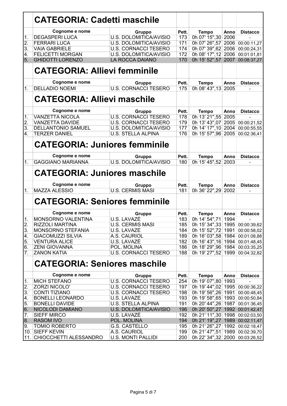|                  | <b>CATEGORIA: Cadetti maschile</b>   |                               |       |                                  |      |                 |
|------------------|--------------------------------------|-------------------------------|-------|----------------------------------|------|-----------------|
|                  | Cognome e nome                       | Gruppo                        | Pett. | <b>Tempo</b>                     | Anno | <b>Distacco</b> |
| 1.               | <b>DEGASPERI LUCA</b>                | <b>U.S. DOLOMITICA/AVISIO</b> | 173   | 0h 07' 15",30 2006               |      |                 |
| 2.               | <b>FERRARI LUCA</b>                  | U.S. DOLOMITICA/AVISIO        | 171   | 0h 07' 26",57 2006               |      | 00:00:11,27     |
| 3.               | <b>VAIA GABRIELE</b>                 | <b>U.S. CORNACCI TESERO</b>   | 174   | 0h 07' 39", 62 2006              |      | 00:00:24,31     |
| 4.               | <b>FELICETTI MORGAN</b>              | <b>U.S. DOLOMITICA/AVISIO</b> | 172   | 0h 08' 17", 12 2006              |      | 00:01:01,81     |
| 5.               | <b>GHIDOTTI LORENZO</b>              | <b>LA ROCCA DAIANO</b>        | 170   | 0h 15' 52", 57 2007              |      | 00:08:37,27     |
|                  | <b>CATEGORIA: Allievi femminile</b>  |                               |       |                                  |      |                 |
|                  |                                      |                               |       |                                  |      |                 |
|                  | Cognome e nome                       | Gruppo                        | Pett. | <b>Tempo</b>                     | Anno | <b>Distacco</b> |
| 1.               | <b>DELLADIO NOEMI</b>                | <b>U.S. CORNACCI TESERO</b>   | 175   | 0h 08' 43", 13 2005              |      |                 |
|                  | <b>CATEGORIA: Allievi maschile</b>   |                               |       |                                  |      |                 |
|                  | Cognome e nome                       | Gruppo                        | Pett. | <b>Tempo</b>                     | Anno | <b>Distacco</b> |
| 1.               | <b>VANZETTA NICOLA</b>               | <b>U.S. CORNACCI TESERO</b>   | 178   | 0h 13' 21",55 2005               |      |                 |
| $\overline{2}$ . | <b>VANZETTA DAVIDE</b>               | <b>U.S. CORNACCI TESERO</b>   | 179   | 0h 13' 43",07 2005               |      | 00:00:21,52     |
| 3.               | <b>DELLANTONIO SAMUEL</b>            | U.S. DOLOMITICA/AVISIO        | 177   | 0h 14' 17", 10 2004              |      | 00:00:55,55     |
| 4.               | <b>TERZER DANIEL</b>                 | <b>U.S. STELLA ALPINA</b>     | 176   | 0h 15' 57",96 2005               |      | 00:02:36.41     |
|                  |                                      |                               |       |                                  |      |                 |
|                  | <b>CATEGORIA: Juniores femminile</b> |                               |       |                                  |      |                 |
|                  | Cognome e nome                       | Gruppo                        | Pett. | <b>Tempo</b>                     | Anno | <b>Distacco</b> |
| 1.               | <b>GAGGIANO MARIANNA</b>             | U.S. DOLOMITICA/AVISIO        | 180   | 0h 15' 45",52 2003               |      |                 |
|                  |                                      |                               |       |                                  |      |                 |
|                  | <b>CATEGORIA: Juniores maschile</b>  |                               |       |                                  |      |                 |
|                  | Cognome e nome                       | Gruppo                        | Pett. | <b>Tempo</b>                     | Anno | <b>Distacco</b> |
| $\overline{1}$ . | <b>MAZZA ALESSIO</b>                 | <b>U.S. CERMIS MASI</b>       | 181   | 0h 36' 22", 29                   | 2002 |                 |
|                  | <b>CATEGORIA: Seniores femminile</b> |                               |       |                                  |      |                 |
|                  | Cognome e nome                       | Gruppo                        | Pett. | <b>Tempo</b>                     | Anno | <b>Distacco</b> |
| 1.               | MONSORNO VALENTINA                   | U.S. LAVAZĖ                   | 183   | 0h 14' 54", 71 1994              |      |                 |
| $\overline{2}$ . | RIZZOLI MARTINA                      | <b>U.S. CERMIS MASI</b>       | 185   | 0h 15' 34", 33 1995 00:00:39, 62 |      |                 |
| 3.               | <b>MONSORNO STEFANIA</b>             | U.S. LAVAZE                   | 184   | 0h 15' 52",72   1991             |      | 00:00:58,02     |
| 4.               | <b>GIACOMUZZI SILVIA</b>             | A.S. CAURIOL                  | 189   | 0h 16' 03",58 1984               |      | 00:01:08,88     |
| 5.               | <b>VENTURA ALICE</b>                 | U.S. LAVAZE                   | 182   | 0h 16' 43", 16 1994              |      | 00:01:48,45     |
| 6.               | <b>ZENI GIOVANNA</b>                 | POL. MOLINA                   | 186   | 0h 18' 29",96 1984               |      | 00:03:35,25     |
| 7.               | <b>ZANON KATIA</b>                   | <b>U.S. CORNACCI TESERO</b>   | 188   | 0h 19' 27",52 1999               |      | 00:04:32,82     |
|                  | <b>CATEGORIA: Seniores maschile</b>  |                               |       |                                  |      |                 |
|                  | Cognome e nome                       | Gruppo                        | Pett. | <b>Tempo</b>                     | Anno | <b>Distacco</b> |
| 1.               | <b>MICH STEFANO</b>                  | <b>U.S. CORNACCI TESERO</b>   | 254   | 0h 19' 07",80 1993               |      |                 |
| 2.               | ZORZI NICOLO'                        | <b>U.S. CORNACCI TESERO</b>   | 197   | 0h 19' 44",02 1995               |      | 00:00:36,22     |
| 3.               | <b>CONTI TIZIANO</b>                 | <b>U.S. CORNACCI TESERO</b>   | 198   | 0h 19' 56", 26 1991              |      | 00:00:48,45     |
| 4.               | <b>BONELLI LEONARDO</b>              | U.S. LAVAZE                   | 193   | 0h 19' 58", 65 1993              |      | 00:00:50,84     |
| 5.               | <b>BONELLI DAVIDE</b>                | <b>U.S. STELLA ALPINA</b>     | 191   | 0h 20' 44", 26 1987              |      | 00:01:36,45     |
| 6.               | NICOLODI DAMIANO                     | U.S. DOLOMITICA/AVISIO        | 196   | 0h 20' 50", 27 1992 00:01:42, 47 |      |                 |
| 7.               | <b>SIEFF MIRCO</b>                   | U.S. LAVAZE                   | 192   | 0h 21' 11",30 1998 00:02:03,50   |      |                 |
| 8.               | <b>RASOM IVO</b>                     | POL. MOLINA                   | 194   | 0h 21' 19", 27 1989              |      | 00:02:11,47     |
| 9.               | <b>TOMIO ROBERTO</b>                 | G.S. CASTELLO                 | 195   | 0h 21' 26", 27   1992            |      | 00:02:18,47     |
|                  |                                      |                               |       |                                  |      |                 |
|                  | 10. SIEFF KEVIN                      | A.S. CAURIOL                  | 199   | 0h 21' 47",51   1989             |      | 00:02:39,70     |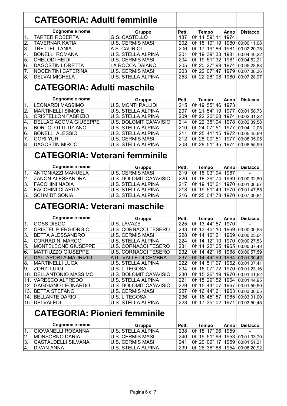|                  | <b>CATEGORIA: Adulti femminile</b>                                                  |                                   |              |                                      |              |                  |
|------------------|-------------------------------------------------------------------------------------|-----------------------------------|--------------|--------------------------------------|--------------|------------------|
|                  | Cognome e nome                                                                      | Gruppo                            | Pett.        | <b>Tempo</b>                         | Anno         | <b>Distacco</b>  |
| 1.               | <b>TARTER ROBERTA</b>                                                               | <b>G.S. CASTELLO</b>              | 187          | 0h 14' 59", 11                       | 1974         |                  |
| $\overline{2}$ . | <b>TAVERNAR KATIA</b>                                                               | <b>U.S. CERMIS MASI</b>           | 202          | 0h 15' 10", 19                       | 1980         | 00:00:11,08      |
| 3.               | <b>TRETTEL TANIA</b>                                                                | A.S. CAURIOL                      | 206          | 0h 17' 19",86                        | 1981         | 00:02:20,75      |
| 4.               | <b>BONELLI ROMANA</b>                                                               | <b>U.S. STELLA ALPINA</b>         | 201          | 0h 19' 39", 33                       | 1981         | 00:04:40,22      |
| 5.               | <b>CHELODI HEIDI</b>                                                                | <b>U.S. CERMIS MASI</b>           | 204          | 0h 19' 51", 32                       | 1981         | 00:04:52,21      |
| 6.               | <b>DAGOSTIN LORETTA</b>                                                             | LA ROCCA DAIANO                   | 205          | 0h 20' 27",99                        | 1974         | 00:05:28,88      |
| 7.               | NOCENTINI CATERINA                                                                  | <b>U.S. CERMIS MASI</b>           | 203          | 0h 22' 07",47                        | 1979         | 00:07:08,36      |
| 8.               | <b>DELVAI MICHELA</b>                                                               | <b>U.S. STELLA ALPINA</b>         | 253          | 0h 22' 28",08                        | 1980         | 00:07:28,97      |
|                  | <b>CATEGORIA: Adulti maschile</b>                                                   |                                   |              |                                      |              |                  |
|                  | Cognome e nome                                                                      | Gruppo                            | Pett.        | <b>Tempo</b>                         | Anno         | <b>Distacco</b>  |
| 1.               | <b>LEONARDI MASSIMO</b>                                                             | <b>U.S. MONTI PALLIDI</b>         | 215          | 0h 19' 55",46                        | 1973         |                  |
| 2.               | <b>MARTINELLI SIMONE</b>                                                            | <b>U.S. STELLA ALPINA</b>         | 207          | 0h 21' 54", 19                       | 1977         | 00:01:58,73      |
| 3.               | <b>CRISTELLON FABRIZIO</b>                                                          | <b>U.S. STELLA ALPINA</b>         | 209          | 0h 22' 26",68                        | 1974         | 00:02:31,22      |
| 4.               | <b>DELLAGIACOMA GIUSEPPE</b>                                                        | <b>U.S. DOLOMITICA/AVISIO</b>     | 214          | 0h 22' 35",04                        | 1978         | 00:02:39,58      |
| 5.               | <b>BORTOLOTTI TIZIANO</b>                                                           | <b>U.S. STELLA ALPINA</b>         | 210          | 0h 24' 07",51                        | 1977         | 00:04:12,05      |
| 6.               | <b>BONELLI ALESSIO</b>                                                              | <b>U.S. STELLA ALPINA</b>         | 211          | 0h 25' 41", 15                       | 1972         | 00:05:45,69      |
| $\overline{7}$ . | <b>GORI YURI</b>                                                                    | <b>U.S. CERMIS MASI</b>           | 212          | 0h 28' 00",51                        | 1977         | 00:08:05,05      |
| 8.               | <b>DAGOSTIN MIRCO</b>                                                               | <b>U.S. STELLA ALPINA</b>         | 208          | 0h 28' 51",45                        | 1974         | 00:08:55,99      |
| 1.               | <b>CATEGORIA: Veterani femminile</b><br>Cognome e nome<br><b>ANTONIAZZI MANUELA</b> | Gruppo<br><b>U.S. CERMIS MASI</b> | Pett.<br>219 | <b>Tempo</b><br>0h 18' 03",94        | Anno<br>1967 | <b>Distacco</b>  |
| 2.               | <b>ZANON ALESSANDRA</b>                                                             | U.S. DOLOMITICA/AVISIO            | 220          | 0h 18' 36",74                        | 1969         | 00:00:32,80      |
| 3.               | <b>FACCHINI NADIA</b>                                                               | <b>U.S. STELLA ALPINA</b>         | 217          | 0h 19' 10",61                        | 1970         | 00:01:06,67      |
| 4.               | <b>FACCHINI CLARITA</b>                                                             | <b>U.S. STELLA ALPINA</b>         | 218          | 0h 19' 51",49                        | 1970         | 00:01:47,55      |
| 5.               | <b>SCHMIDT SONIA</b>                                                                | <b>U.S. STELLA ALPINA</b>         | 216          | 0h 25' 04",78                        | 1970         | 00:07:00,84      |
|                  | <b>CATEGORIA: Veterani maschile</b>                                                 |                                   |              |                                      |              |                  |
|                  | Cognome e nome                                                                      | Gruppo                            | Pett.        | <b>Tempo</b>                         | Anno         | <b>Distacco</b>  |
| $\overline{1}$ . | <b>GOSS DIEGO</b>                                                                   | U.S. LAVAZĖ                       | 225          | 0h 13' 44",57                        | 1970         | $\overline{a}$   |
| 2.               | <b>CRISTEL PIERGIORGIO</b>                                                          | <b>U.S. CORNACCI TESERO</b>       | 233          | 0h 13' 45", 10 1969 00:00:00, 53     |              |                  |
| 3.               | BETTA ALESSANDRO                                                                    | <b>U.S. CERMIS MASI</b>           | 228          | 0h 14' 10", 21                       |              | 1969 00:00:25,64 |
| 4.               | <b>CORRADINI MARCO</b>                                                              | <b>U.S. STELLA ALPINA</b>         | 224          | 0h 14' 12", 10 1970 00:00:27, 53     |              |                  |
| 5.               | MONTELEONE GIUSEPPE                                                                 | <b>U.S. CORNACCI TESERO</b>       | 231          | 0h 14' 22",05 1965 00:00:37,48       |              |                  |
| 6.               | MATTIUZZO GIUSEPPE                                                                  | <b>U.S. CORNACCI TESERO</b>       | 232          | 0h 14' 42", 16 1968 00:00:57, 59     |              |                  |
| 7.               | DALLAPORTA MAURIZIO                                                                 | ATL. VALLE DI CEMBRA              | 237          | 0h 14' 44",99 1964 00:01:00,42       |              |                  |
| 8.               | <b>MARTINELLI LUCA</b>                                                              | <b>U.S. STELLA ALPINA</b>         | 222          | 0h 14' 51", 97 1962 00:01:07, 41     |              |                  |
| 9.               | <b>ZORZI LUIGI</b>                                                                  | <b>U.S. LITEGOSA</b>              | 234          | 0h 15' 07",72 1970 00:01:23,16       |              |                  |
|                  | 10. DELLANTONIO MASSIMO                                                             | U.S. DOLOMITICA/AVISIO            | 230          | 0h 15' 26", 19 1970 00:01:41, 62     |              |                  |
|                  | 11. VARESCO ALFREDO                                                                 | <b>U.S. STELLA ALPINA</b>         | 221          | 0h 15' 29",52 1964 00:01:44,95       |              |                  |
|                  | 12. GAGGIANO LEONARDO                                                               | U.S. DOLOMITICA/AVISIO            | 229          | 0h 15' 44",07   1967                 |              | 00:01:59,50      |
|                  | 13. BETTA STEFANO                                                                   | <b>U.S. CERMIS MASI</b>           | 227          | 0h 16' 44", 61 1963 00:03:00, 05     |              |                  |
|                  | 14. BELLANTE DARIO                                                                  | U.S. LITEGOSA                     | 236          | 0h 16' 45",57 1965 00:03:01,00       |              |                  |
|                  | 15. DELVAI EDI                                                                      | <b>U.S. STELLA ALPINA</b>         | 223          | 0h 17' 35",02                        | 1971         | 00:03:50,45      |
|                  | <b>CATEGORIA: Pionieri femminile</b>                                                |                                   |              |                                      |              |                  |
|                  | Cognome e nome                                                                      | <b>Gruppo</b>                     | Pett.        | <b>Tempo</b>                         | Anno         | <b>Distacco</b>  |
| 1.               | <b>GIOVANELLI ROSANNA</b>                                                           | <b>U.S. STELLA ALPINA</b>         | 238          | 0h 18' 17",96                        | 1959         |                  |
| 2.               | <b>MONSORNO DARIA</b>                                                               | <b>U.S. CERMIS MASI</b>           | 240          | 0h 19' 51",66 1953 00:01:33,70       |              |                  |
| 3.               | <b>GASTALDELLI SILVANA</b>                                                          | <b>U.S. CERMIS MASI</b>           | 241          | 0h 20' 09", 17   1959   00:01:51, 21 |              |                  |
| 4.               | <b>DIVAN ANNA</b>                                                                   | <b>U.S. STELLA ALPINA</b>         | 239          | 0h 26' 38",88 1954 00:08:20,92       |              |                  |